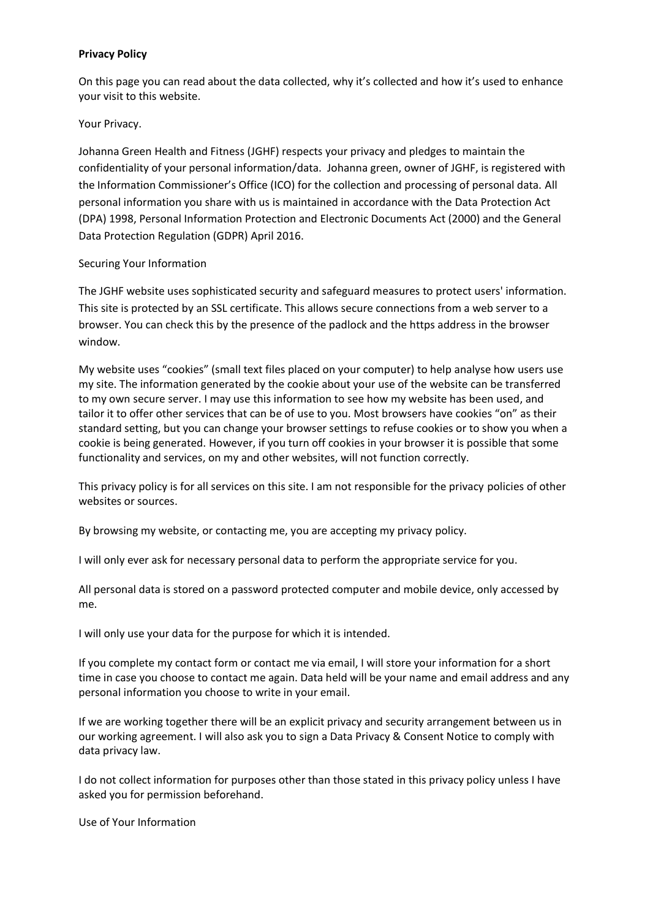### **Privacy Policy**

On this page you can read about the data collected, why it's collected and how it's used to enhance your visit to this website.

#### Your Privacy.

Johanna Green Health and Fitness (JGHF) respects your privacy and pledges to maintain the confidentiality of your personal information/data. Johanna green, owner of JGHF, is registered with the Information Commissioner's Office (ICO) for the collection and processing of personal data. All personal information you share with us is maintained in accordance with the Data Protection Act (DPA) 1998, Personal Information Protection and Electronic Documents Act (2000) and the General Data Protection Regulation (GDPR) April 2016.

#### Securing Your Information

The JGHF website uses sophisticated security and safeguard measures to protect users' information. This site is protected by an SSL certificate. This allows secure connections from a web server to a browser. You can check this by the presence of the padlock and the https address in the browser window.

My website uses "cookies" (small text files placed on your computer) to help analyse how users use my site. The information generated by the cookie about your use of the website can be transferred to my own secure server. I may use this information to see how my website has been used, and tailor it to offer other services that can be of use to you. Most browsers have cookies "on" as their standard setting, but you can change your browser settings to refuse cookies or to show you when a cookie is being generated. However, if you turn off cookies in your browser it is possible that some functionality and services, on my and other websites, will not function correctly.

This privacy policy is for all services on this site. I am not responsible for the privacy policies of other websites or sources.

By browsing my website, or contacting me, you are accepting my privacy policy.

I will only ever ask for necessary personal data to perform the appropriate service for you.

All personal data is stored on a password protected computer and mobile device, only accessed by me.

I will only use your data for the purpose for which it is intended.

If you complete my contact form or contact me via email, I will store your information for a short time in case you choose to contact me again. Data held will be your name and email address and any personal information you choose to write in your email.

If we are working together there will be an explicit privacy and security arrangement between us in our working agreement. I will also ask you to sign a Data Privacy & Consent Notice to comply with data privacy law.

I do not collect information for purposes other than those stated in this privacy policy unless I have asked you for permission beforehand.

Use of Your Information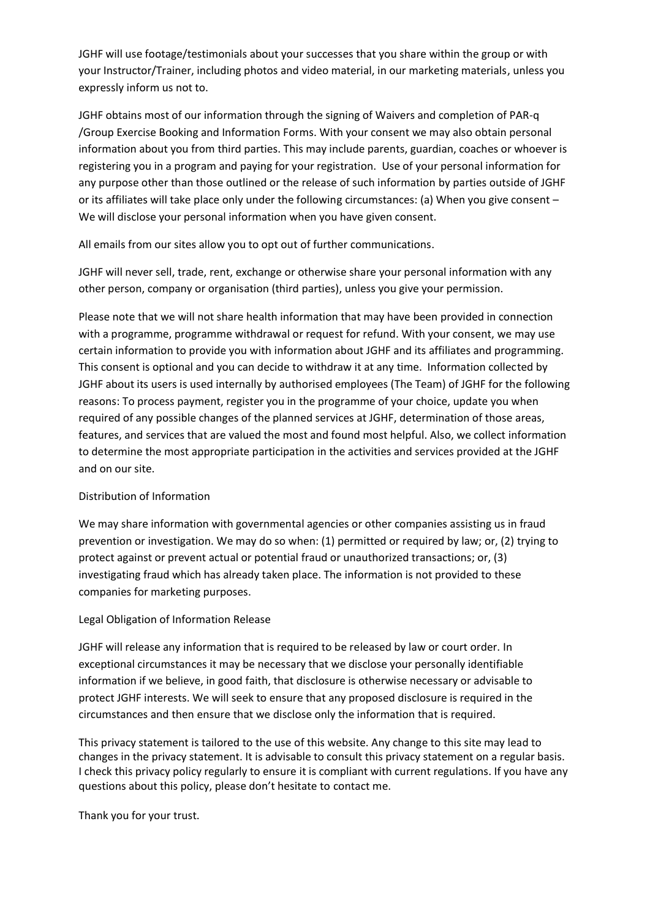JGHF will use footage/testimonials about your successes that you share within the group or with your Instructor/Trainer, including photos and video material, in our marketing materials, unless you expressly inform us not to.

JGHF obtains most of our information through the signing of Waivers and completion of PAR-q /Group Exercise Booking and Information Forms. With your consent we may also obtain personal information about you from third parties. This may include parents, guardian, coaches or whoever is registering you in a program and paying for your registration. Use of your personal information for any purpose other than those outlined or the release of such information by parties outside of JGHF or its affiliates will take place only under the following circumstances: (a) When you give consent – We will disclose your personal information when you have given consent.

All emails from our sites allow you to opt out of further communications.

JGHF will never sell, trade, rent, exchange or otherwise share your personal information with any other person, company or organisation (third parties), unless you give your permission.

Please note that we will not share health information that may have been provided in connection with a programme, programme withdrawal or request for refund. With your consent, we may use certain information to provide you with information about JGHF and its affiliates and programming. This consent is optional and you can decide to withdraw it at any time. Information collected by JGHF about its users is used internally by authorised employees (The Team) of JGHF for the following reasons: To process payment, register you in the programme of your choice, update you when required of any possible changes of the planned services at JGHF, determination of those areas, features, and services that are valued the most and found most helpful. Also, we collect information to determine the most appropriate participation in the activities and services provided at the JGHF and on our site.

## Distribution of Information

We may share information with governmental agencies or other companies assisting us in fraud prevention or investigation. We may do so when: (1) permitted or required by law; or, (2) trying to protect against or prevent actual or potential fraud or unauthorized transactions; or, (3) investigating fraud which has already taken place. The information is not provided to these companies for marketing purposes.

## Legal Obligation of Information Release

JGHF will release any information that is required to be released by law or court order. In exceptional circumstances it may be necessary that we disclose your personally identifiable information if we believe, in good faith, that disclosure is otherwise necessary or advisable to protect JGHF interests. We will seek to ensure that any proposed disclosure is required in the circumstances and then ensure that we disclose only the information that is required.

This privacy statement is tailored to the use of this website. Any change to this site may lead to changes in the privacy statement. It is advisable to consult this privacy statement on a regular basis. I check this privacy policy regularly to ensure it is compliant with current regulations. If you have any questions about this policy, please don't hesitate to contact me.

Thank you for your trust.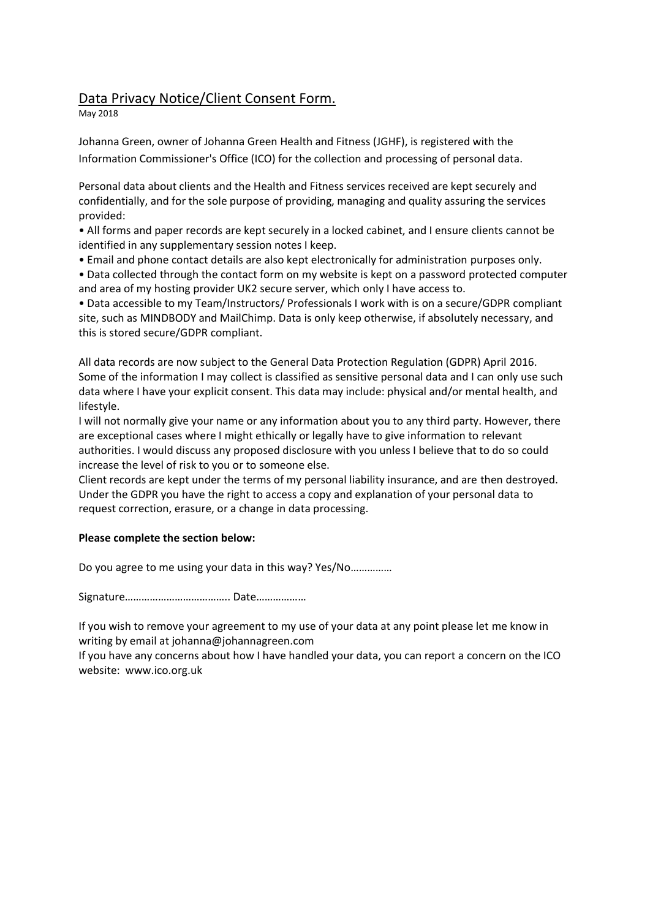# Data Privacy Notice/Client Consent Form.

May 2018

Johanna Green, owner of Johanna Green Health and Fitness (JGHF), is registered with the Information Commissioner's Office (ICO) for the collection and processing of personal data.

Personal data about clients and the Health and Fitness services received are kept securely and confidentially, and for the sole purpose of providing, managing and quality assuring the services provided:

• All forms and paper records are kept securely in a locked cabinet, and I ensure clients cannot be identified in any supplementary session notes I keep.

• Email and phone contact details are also kept electronically for administration purposes only.

• Data collected through the contact form on my website is kept on a password protected computer and area of my hosting provider UK2 secure server, which only I have access to.

• Data accessible to my Team/Instructors/ Professionals I work with is on a secure/GDPR compliant site, such as MINDBODY and MailChimp. Data is only keep otherwise, if absolutely necessary, and this is stored secure/GDPR compliant.

All data records are now subject to the General Data Protection Regulation (GDPR) April 2016. Some of the information I may collect is classified as sensitive personal data and I can only use such data where I have your explicit consent. This data may include: physical and/or mental health, and lifestyle.

I will not normally give your name or any information about you to any third party. However, there are exceptional cases where I might ethically or legally have to give information to relevant authorities. I would discuss any proposed disclosure with you unless I believe that to do so could increase the level of risk to you or to someone else.

Client records are kept under the terms of my personal liability insurance, and are then destroyed. Under the GDPR you have the right to access a copy and explanation of your personal data to request correction, erasure, or a change in data processing.

## **Please complete the section below:**

Do you agree to me using your data in this way? Yes/No……………

Signature……………………………….. Date………………

If you wish to remove your agreement to my use of your data at any point please let me know in writing by email at johanna@johannagreen.com

If you have any concerns about how I have handled your data, you can report a concern on the ICO website: www.ico.org.uk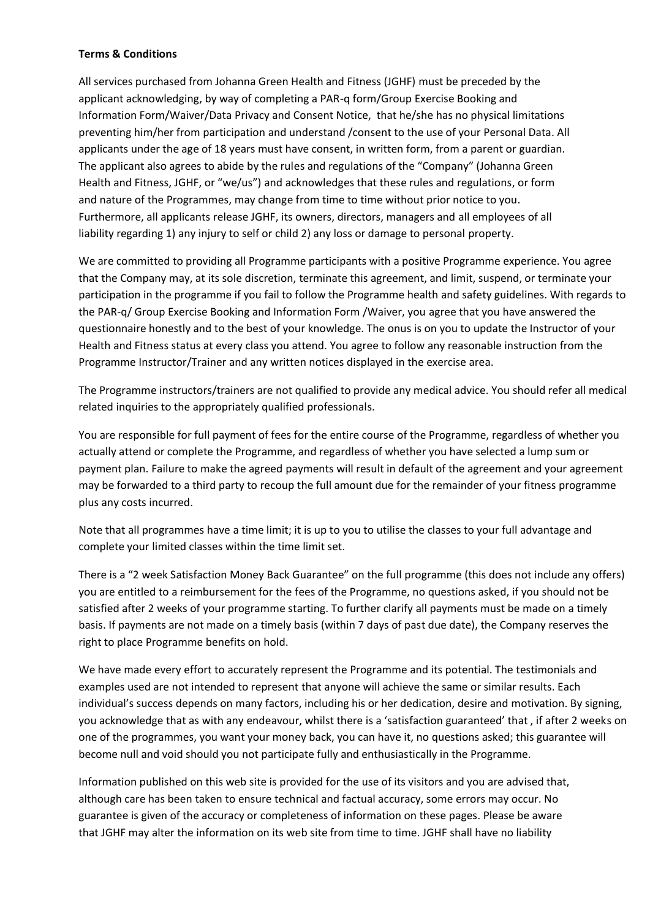### **Terms & Conditions**

All services purchased from Johanna Green Health and Fitness (JGHF) must be preceded by the applicant acknowledging, by way of completing a PAR-q form/Group Exercise Booking and Information Form/Waiver/Data Privacy and Consent Notice, that he/she has no physical limitations preventing him/her from participation and understand /consent to the use of your Personal Data. All applicants under the age of 18 years must have consent, in written form, from a parent or guardian. The applicant also agrees to abide by the rules and regulations of the "Company" (Johanna Green Health and Fitness, JGHF, or "we/us") and acknowledges that these rules and regulations, or form and nature of the Programmes, may change from time to time without prior notice to you. Furthermore, all applicants release JGHF, its owners, directors, managers and all employees of all liability regarding 1) any injury to self or child 2) any loss or damage to personal property.

We are committed to providing all Programme participants with a positive Programme experience. You agree that the Company may, at its sole discretion, terminate this agreement, and limit, suspend, or terminate your participation in the programme if you fail to follow the Programme health and safety guidelines. With regards to the PAR-q/ Group Exercise Booking and Information Form /Waiver, you agree that you have answered the questionnaire honestly and to the best of your knowledge. The onus is on you to update the Instructor of your Health and Fitness status at every class you attend. You agree to follow any reasonable instruction from the Programme Instructor/Trainer and any written notices displayed in the exercise area.

The Programme instructors/trainers are not qualified to provide any medical advice. You should refer all medical related inquiries to the appropriately qualified professionals.

You are responsible for full payment of fees for the entire course of the Programme, regardless of whether you actually attend or complete the Programme, and regardless of whether you have selected a lump sum or payment plan. Failure to make the agreed payments will result in default of the agreement and your agreement may be forwarded to a third party to recoup the full amount due for the remainder of your fitness programme plus any costs incurred.

Note that all programmes have a time limit; it is up to you to utilise the classes to your full advantage and complete your limited classes within the time limit set.

There is a "2 week Satisfaction Money Back Guarantee" on the full programme (this does not include any offers) you are entitled to a reimbursement for the fees of the Programme, no questions asked, if you should not be satisfied after 2 weeks of your programme starting. To further clarify all payments must be made on a timely basis. If payments are not made on a timely basis (within 7 days of past due date), the Company reserves the right to place Programme benefits on hold.

We have made every effort to accurately represent the Programme and its potential. The testimonials and examples used are not intended to represent that anyone will achieve the same or similar results. Each individual's success depends on many factors, including his or her dedication, desire and motivation. By signing, you acknowledge that as with any endeavour, whilst there is a 'satisfaction guaranteed' that , if after 2 weeks on one of the programmes, you want your money back, you can have it, no questions asked; this guarantee will become null and void should you not participate fully and enthusiastically in the Programme.

Information published on this web site is provided for the use of its visitors and you are advised that, although care has been taken to ensure technical and factual accuracy, some errors may occur. No guarantee is given of the accuracy or completeness of information on these pages. Please be aware that JGHF may alter the information on its web site from time to time. JGHF shall have no liability